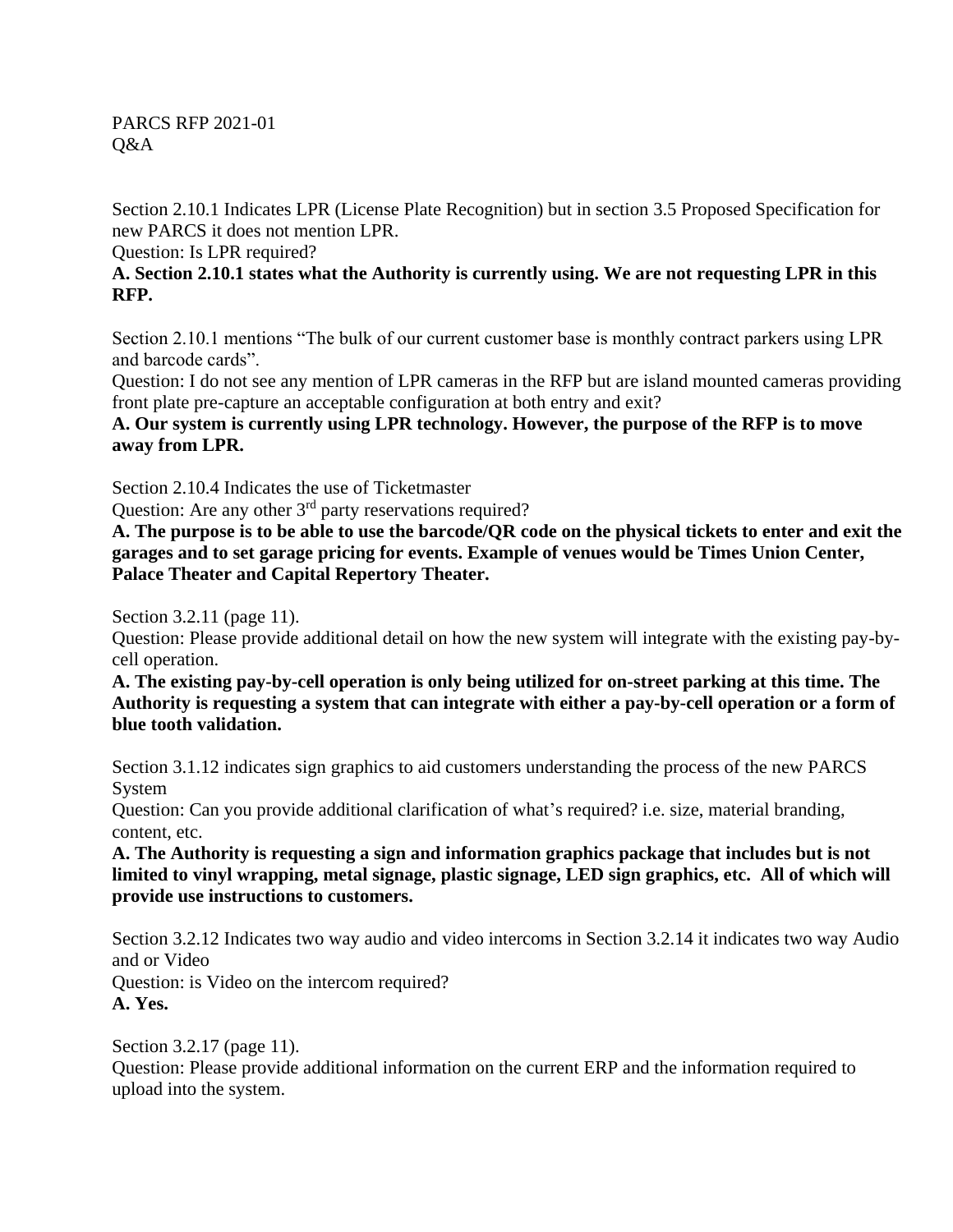PARCS RFP 2021-01 Q&A

Section 2.10.1 Indicates LPR (License Plate Recognition) but in section 3.5 Proposed Specification for new PARCS it does not mention LPR.

Question: Is LPR required?

## **A. Section 2.10.1 states what the Authority is currently using. We are not requesting LPR in this RFP.**

Section 2.10.1 mentions "The bulk of our current customer base is monthly contract parkers using LPR and barcode cards".

Question: I do not see any mention of LPR cameras in the RFP but are island mounted cameras providing front plate pre-capture an acceptable configuration at both entry and exit?

**A. Our system is currently using LPR technology. However, the purpose of the RFP is to move away from LPR.**

Section 2.10.4 Indicates the use of Ticketmaster

Question: Are any other 3<sup>rd</sup> party reservations required?

**A. The purpose is to be able to use the barcode/QR code on the physical tickets to enter and exit the garages and to set garage pricing for events. Example of venues would be Times Union Center, Palace Theater and Capital Repertory Theater.**

Section 3.2.11 (page 11).

Question: Please provide additional detail on how the new system will integrate with the existing pay-bycell operation.

**A. The existing pay-by-cell operation is only being utilized for on-street parking at this time. The Authority is requesting a system that can integrate with either a pay-by-cell operation or a form of blue tooth validation.** 

Section 3.1.12 indicates sign graphics to aid customers understanding the process of the new PARCS System

Question: Can you provide additional clarification of what's required? i.e. size, material branding, content, etc.

**A. The Authority is requesting a sign and information graphics package that includes but is not limited to vinyl wrapping, metal signage, plastic signage, LED sign graphics, etc. All of which will provide use instructions to customers.** 

Section 3.2.12 Indicates two way audio and video intercoms in Section 3.2.14 it indicates two way Audio and or Video

Question: is Video on the intercom required? **A. Yes.** 

Section 3.2.17 (page 11).

Question: Please provide additional information on the current ERP and the information required to upload into the system.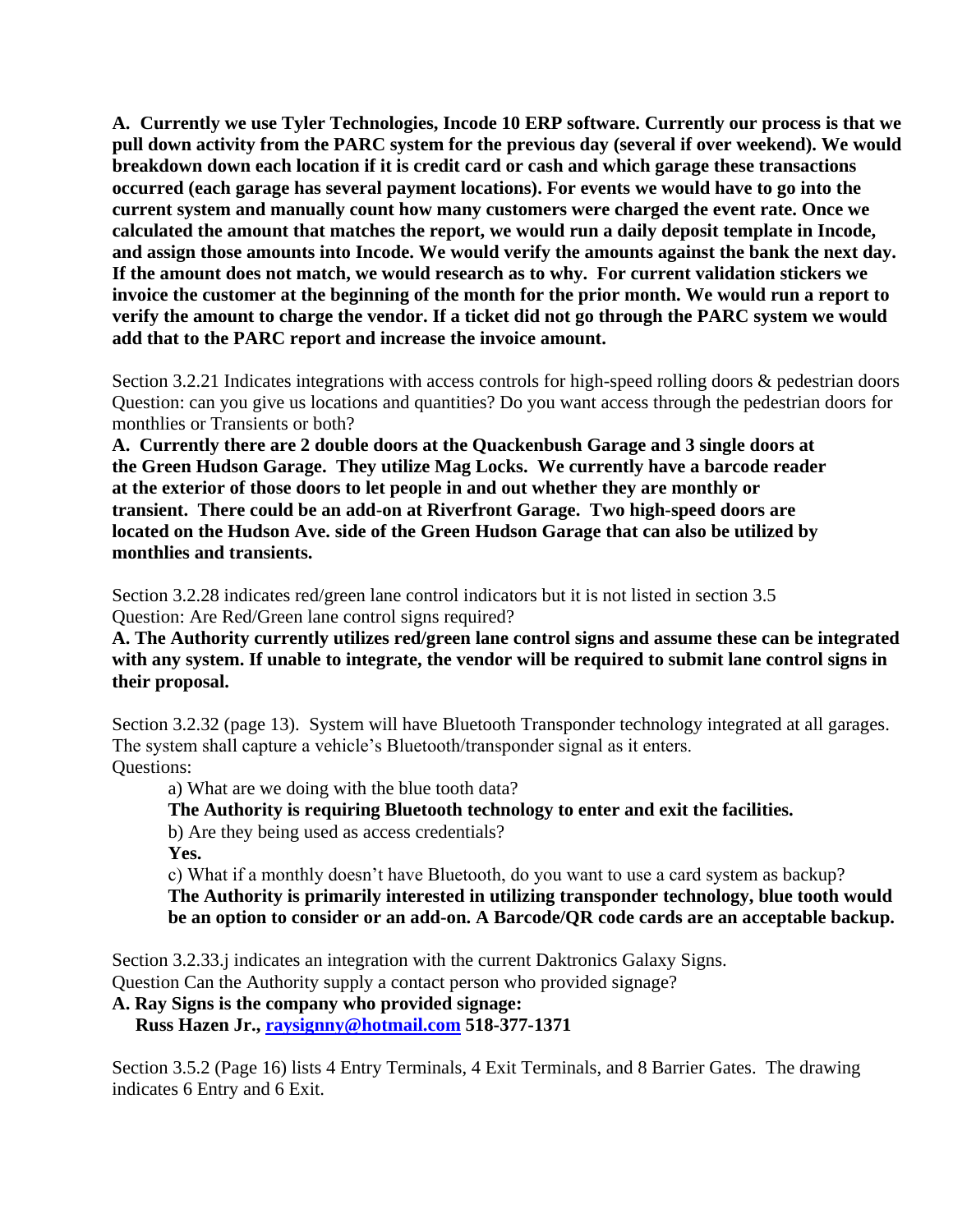**A. Currently we use Tyler Technologies, Incode 10 ERP software. Currently our process is that we pull down activity from the PARC system for the previous day (several if over weekend). We would breakdown down each location if it is credit card or cash and which garage these transactions occurred (each garage has several payment locations). For events we would have to go into the current system and manually count how many customers were charged the event rate. Once we calculated the amount that matches the report, we would run a daily deposit template in Incode, and assign those amounts into Incode. We would verify the amounts against the bank the next day. If the amount does not match, we would research as to why. For current validation stickers we invoice the customer at the beginning of the month for the prior month. We would run a report to verify the amount to charge the vendor. If a ticket did not go through the PARC system we would add that to the PARC report and increase the invoice amount.** 

Section 3.2.21 Indicates integrations with access controls for high-speed rolling doors & pedestrian doors Question: can you give us locations and quantities? Do you want access through the pedestrian doors for monthlies or Transients or both?

**A. Currently there are 2 double doors at the Quackenbush Garage and 3 single doors at the Green Hudson Garage. They utilize Mag Locks. We currently have a barcode reader at the exterior of those doors to let people in and out whether they are monthly or transient. There could be an add-on at Riverfront Garage. Two high-speed doors are located on the Hudson Ave. side of the Green Hudson Garage that can also be utilized by monthlies and transients.** 

Section 3.2.28 indicates red/green lane control indicators but it is not listed in section 3.5 Question: Are Red/Green lane control signs required?

## **A. The Authority currently utilizes red/green lane control signs and assume these can be integrated with any system. If unable to integrate, the vendor will be required to submit lane control signs in their proposal.**

Section 3.2.32 (page 13). System will have Bluetooth Transponder technology integrated at all garages. The system shall capture a vehicle's Bluetooth/transponder signal as it enters. Questions:

a) What are we doing with the blue tooth data?

**The Authority is requiring Bluetooth technology to enter and exit the facilities.** 

b) Are they being used as access credentials?

**Yes.** 

c) What if a monthly doesn't have Bluetooth, do you want to use a card system as backup? **The Authority is primarily interested in utilizing transponder technology, blue tooth would be an option to consider or an add-on. A Barcode/QR code cards are an acceptable backup.** 

Section 3.2.33.j indicates an integration with the current Daktronics Galaxy Signs. Question Can the Authority supply a contact person who provided signage?

**A. Ray Signs is the company who provided signage:** 

 **Russ Hazen Jr., [raysignny@hotmail.com](mailto:raysignny@hotmail.com) 518-377-1371**

Section 3.5.2 (Page 16) lists 4 Entry Terminals, 4 Exit Terminals, and 8 Barrier Gates. The drawing indicates 6 Entry and 6 Exit.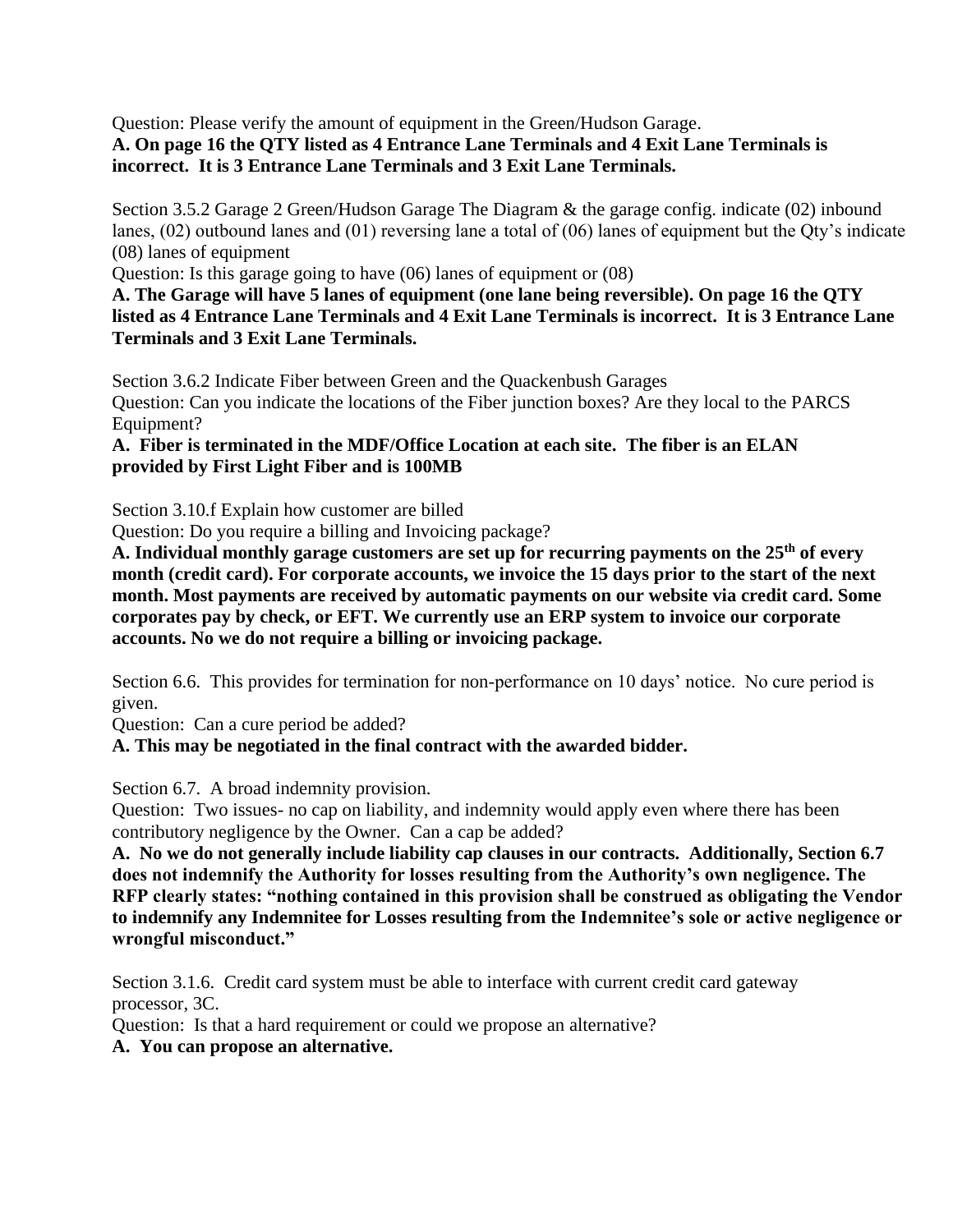Question: Please verify the amount of equipment in the Green/Hudson Garage. **A. On page 16 the QTY listed as 4 Entrance Lane Terminals and 4 Exit Lane Terminals is incorrect. It is 3 Entrance Lane Terminals and 3 Exit Lane Terminals.** 

Section 3.5.2 Garage 2 Green/Hudson Garage The Diagram & the garage config. indicate (02) inbound lanes, (02) outbound lanes and (01) reversing lane a total of (06) lanes of equipment but the Qty's indicate (08) lanes of equipment

Question: Is this garage going to have (06) lanes of equipment or (08)

**A. The Garage will have 5 lanes of equipment (one lane being reversible). On page 16 the QTY listed as 4 Entrance Lane Terminals and 4 Exit Lane Terminals is incorrect. It is 3 Entrance Lane Terminals and 3 Exit Lane Terminals.** 

Section 3.6.2 Indicate Fiber between Green and the Quackenbush Garages Question: Can you indicate the locations of the Fiber junction boxes? Are they local to the PARCS Equipment?

**A. Fiber is terminated in the MDF/Office Location at each site. The fiber is an ELAN provided by First Light Fiber and is 100MB**

Section 3.10.f Explain how customer are billed

Question: Do you require a billing and Invoicing package?

**A. Individual monthly garage customers are set up for recurring payments on the 25th of every month (credit card). For corporate accounts, we invoice the 15 days prior to the start of the next month. Most payments are received by automatic payments on our website via credit card. Some corporates pay by check, or EFT. We currently use an ERP system to invoice our corporate accounts. No we do not require a billing or invoicing package.** 

Section 6.6. This provides for termination for non-performance on 10 days' notice. No cure period is given.

Question: Can a cure period be added?

**A. This may be negotiated in the final contract with the awarded bidder.** 

Section 6.7. A broad indemnity provision.

Question: Two issues- no cap on liability, and indemnity would apply even where there has been contributory negligence by the Owner. Can a cap be added?

**A. No we do not generally include liability cap clauses in our contracts. Additionally, Section 6.7 does not indemnify the Authority for losses resulting from the Authority's own negligence. The RFP clearly states: "nothing contained in this provision shall be construed as obligating the Vendor to indemnify any Indemnitee for Losses resulting from the Indemnitee's sole or active negligence or wrongful misconduct."**

Section 3.1.6. Credit card system must be able to interface with current credit card gateway processor, 3C.

Question: Is that a hard requirement or could we propose an alternative?

**A. You can propose an alternative.**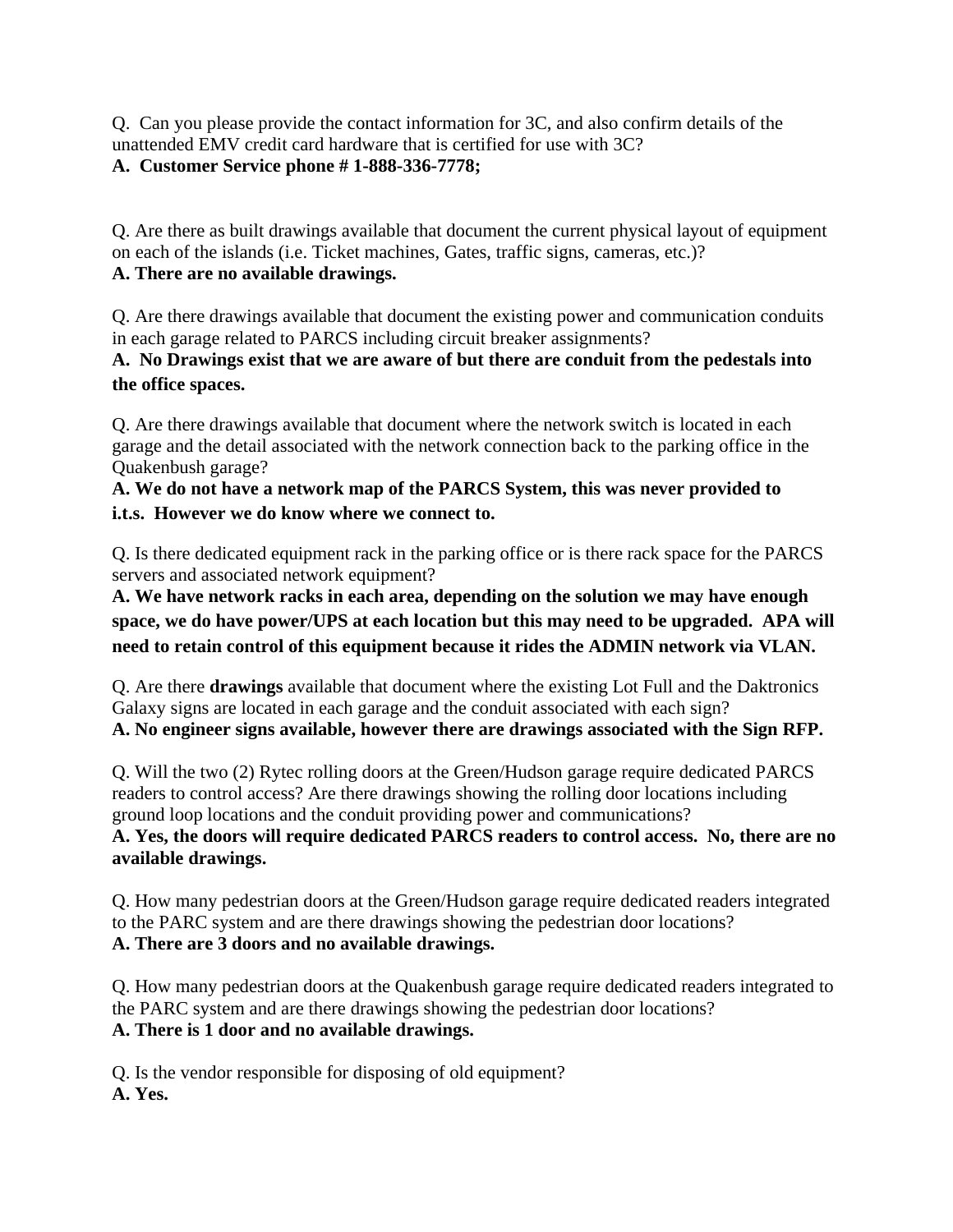Q. Can you please provide the contact information for 3C, and also confirm details of the unattended EMV credit card hardware that is certified for use with 3C?

## **A. Customer Service phone # 1-888-336-7778;**

Q. Are there as built drawings available that document the current physical layout of equipment on each of the islands (i.e. Ticket machines, Gates, traffic signs, cameras, etc.)? **A. There are no available drawings.** 

Q. Are there drawings available that document the existing power and communication conduits in each garage related to PARCS including circuit breaker assignments?

**A. No Drawings exist that we are aware of but there are conduit from the pedestals into the office spaces.**

Q. Are there drawings available that document where the network switch is located in each garage and the detail associated with the network connection back to the parking office in the Quakenbush garage?

**A. We do not have a network map of the PARCS System, this was never provided to i.t.s. However we do know where we connect to.** 

Q. Is there dedicated equipment rack in the parking office or is there rack space for the PARCS servers and associated network equipment?

**A. We have network racks in each area, depending on the solution we may have enough space, we do have power/UPS at each location but this may need to be upgraded. APA will need to retain control of this equipment because it rides the ADMIN network via VLAN.**

Q. Are there **drawings** available that document where the existing Lot Full and the Daktronics Galaxy signs are located in each garage and the conduit associated with each sign? **A. No engineer signs available, however there are drawings associated with the Sign RFP.**

Q. Will the two (2) Rytec rolling doors at the Green/Hudson garage require dedicated PARCS readers to control access? Are there drawings showing the rolling door locations including ground loop locations and the conduit providing power and communications? **A. Yes, the doors will require dedicated PARCS readers to control access. No, there are no available drawings.** 

Q. How many pedestrian doors at the Green/Hudson garage require dedicated readers integrated to the PARC system and are there drawings showing the pedestrian door locations? **A. There are 3 doors and no available drawings.**

Q. How many pedestrian doors at the Quakenbush garage require dedicated readers integrated to the PARC system and are there drawings showing the pedestrian door locations? **A. There is 1 door and no available drawings.** 

Q. Is the vendor responsible for disposing of old equipment? **A. Yes.**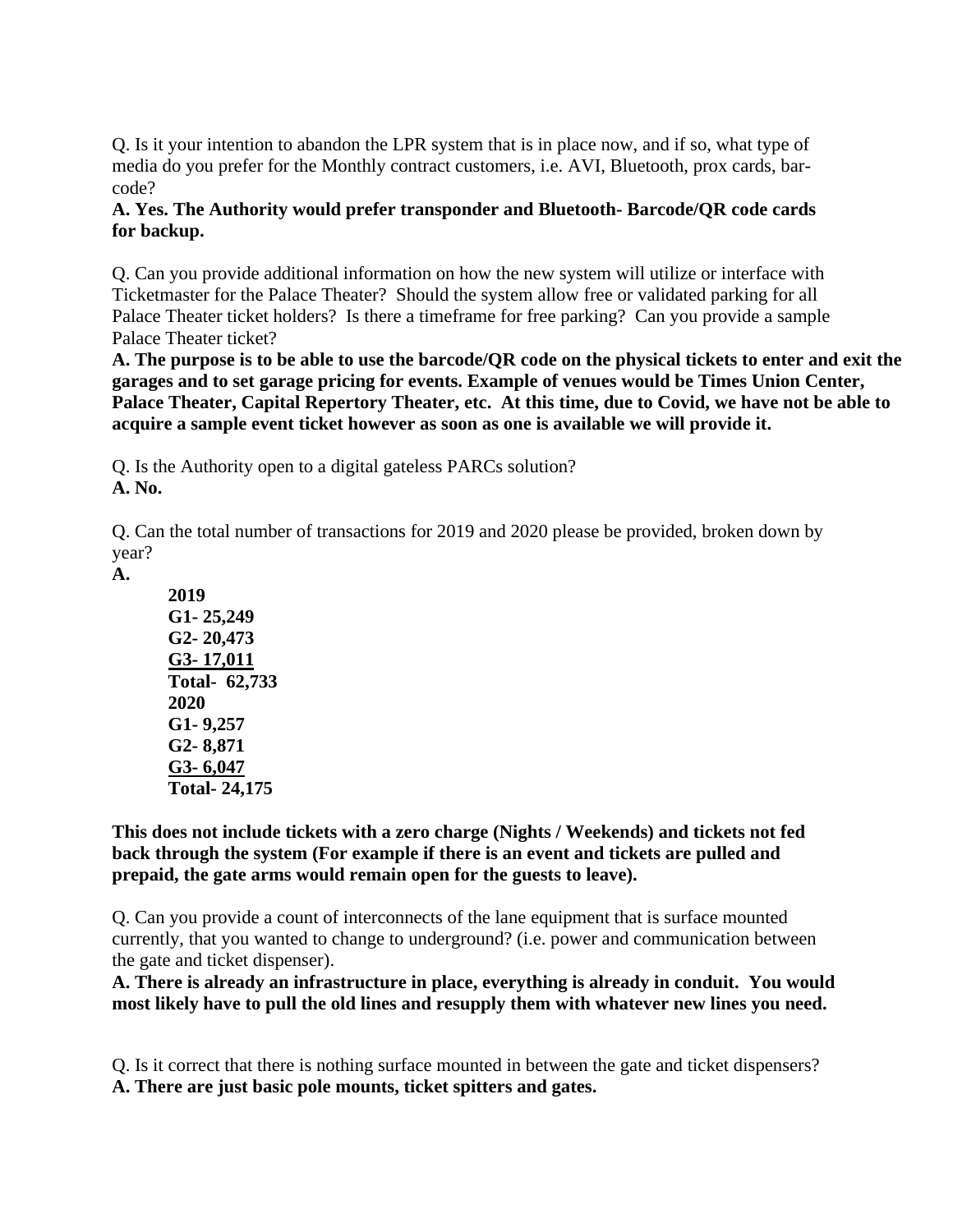Q. Is it your intention to abandon the LPR system that is in place now, and if so, what type of media do you prefer for the Monthly contract customers, i.e. AVI, Bluetooth, prox cards, barcode?

## **A. Yes. The Authority would prefer transponder and Bluetooth- Barcode/QR code cards for backup.**

Q. Can you provide additional information on how the new system will utilize or interface with Ticketmaster for the Palace Theater? Should the system allow free or validated parking for all Palace Theater ticket holders? Is there a timeframe for free parking? Can you provide a sample Palace Theater ticket?

**A. The purpose is to be able to use the barcode/QR code on the physical tickets to enter and exit the garages and to set garage pricing for events. Example of venues would be Times Union Center, Palace Theater, Capital Repertory Theater, etc. At this time, due to Covid, we have not be able to acquire a sample event ticket however as soon as one is available we will provide it.**

Q. Is the Authority open to a digital gateless PARCs solution? **A. No.** 

Q. Can the total number of transactions for 2019 and 2020 please be provided, broken down by year?

**A.** 

**2019 G1- 25,249 G2- 20,473 G3- 17,011 Total- 62,733 2020 G1- 9,257 G2- 8,871 G3- 6,047 Total- 24,175**

**This does not include tickets with a zero charge (Nights / Weekends) and tickets not fed back through the system (For example if there is an event and tickets are pulled and prepaid, the gate arms would remain open for the guests to leave).** 

Q. Can you provide a count of interconnects of the lane equipment that is surface mounted currently, that you wanted to change to underground? (i.e. power and communication between the gate and ticket dispenser).

**A. There is already an infrastructure in place, everything is already in conduit. You would most likely have to pull the old lines and resupply them with whatever new lines you need.** 

Q. Is it correct that there is nothing surface mounted in between the gate and ticket dispensers? **A. There are just basic pole mounts, ticket spitters and gates.**